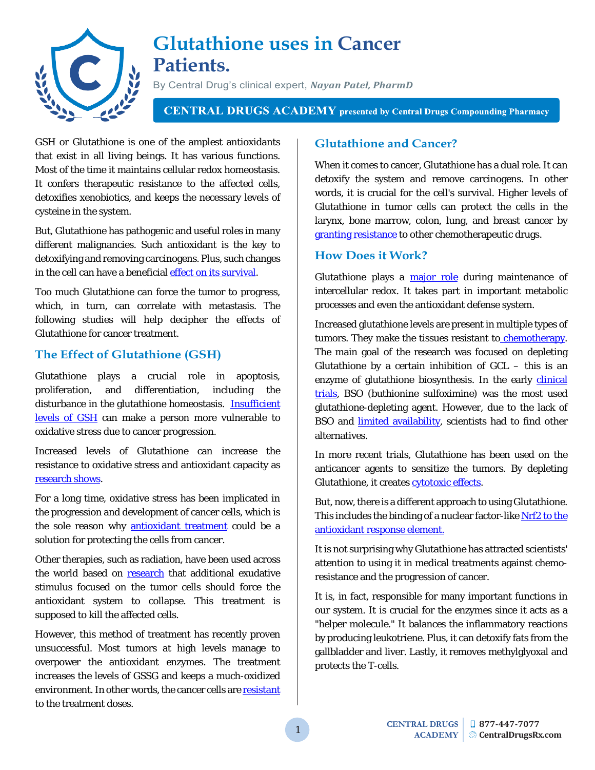

# **Glutathione uses in Cancer Patients.**

By Central Drug's clinical expert, *Nayan Patel, PharmD*

**CENTRAL DRUGS ACADEMY** presented by Central Drugs Compounding Pharmacy

GSH or Glutathione is one of the amplest antioxidants that exist in all living beings. It has various functions. Most of the time it maintains cellular redox homeostasis. It confers therapeutic resistance to the affected cells, detoxifies xenobiotics, and keeps the necessary levels of cysteine in the system.

But, Glutathione has pathogenic and useful roles in many different malignancies. Such antioxidant is the key to detoxifying and removing carcinogens. Plus, such changes in the cell can have a beneficial [effect on its survival.](https://www.ncbi.nlm.nih.gov/pmc/articles/PMC3756414/)

Too much Glutathione can force the tumor to progress, which, in turn, can correlate with metastasis. The following studies will help decipher the effects of Glutathione for cancer treatment.

## **The Effect of Glutathione (GSH)**

Glutathione plays a crucial role in apoptosis, proliferation, and differentiation, including the disturbance in the glutathione homeostasis. **Insufficient** [levels of GSH](https://www.ncbi.nlm.nih.gov/pmc/articles/PMC3673338/) can make a person more vulnerable to oxidative stress due to cancer progression.

Increased levels of Glutathione can increase the resistance to oxidative stress and antioxidant capacity as [research shows.](https://www.ncbi.nlm.nih.gov/pmc/articles/PMC3673338/)

For a long time, oxidative stress has been implicated in the progression and development of cancer cells, which is the sole reason why [antioxidant treatment](https://www.ncbi.nlm.nih.gov/pubmed/18058573/) could be a solution for protecting the cells from cancer.

Other therapies, such as radiation, have been used across the world based on [research](https://www.ncbi.nlm.nih.gov/pubmed/16357179/) that additional exudative stimulus focused on the tumor cells should force the antioxidant system to collapse. This treatment is supposed to kill the affected cells.

However, this method of treatment has recently proven unsuccessful. Most tumors at high levels manage to overpower the antioxidant enzymes. The treatment increases the levels of GSSG and keeps a much-oxidized environment. In other words, the cancer cells are [resistant](https://www.ncbi.nlm.nih.gov/pubmed/18981733/) to the treatment doses.

## **Glutathione and Cancer?**

When it comes to cancer, Glutathione has a dual role. It can detoxify the system and remove carcinogens. In other words, it is crucial for the cell's survival. Higher levels of Glutathione in tumor cells can protect the cells in the larynx, bone marrow, colon, lung, and breast cancer by [granting resistance](http://jcb.rupress.org/content/217/7/2291#ref-69) to other chemotherapeutic drugs.

### **How Does it Work?**

Glutathione plays a [major role](https://www.ncbi.nlm.nih.gov/pmc/articles/PMC3673338/#B9) during maintenance of intercellular redox. It takes part in important metabolic processes and even the antioxidant defense system.

Increased glutathione levels are present in multiple types of tumors. They make the tissues resistant to chemotherapy. The main goal of the research was focused on depleting Glutathione by a certain inhibition of  $GCL -$  this is an enzyme of glutathione biosynthesis. In the early clinical [trials,](https://www.ncbi.nlm.nih.gov/pmc/articles/PMC3673338/#B13) BSO (buthionine sulfoximine) was the most used glutathione-depleting agent. However, due to the lack of BSO and **limited availability**, scientists had to find other alternatives.

In more recent trials, Glutathione has been used on the anticancer agents to sensitize the tumors. By depleting Glutathione, it creates **cytotoxic effects**.

But, now, there is a different approach to using Glutathione. This includes the binding of a nuclear factor-like Nrf2 [to the](https://www.ncbi.nlm.nih.gov/pubmed/19182219)  [antioxidant response element.](https://www.ncbi.nlm.nih.gov/pubmed/19182219)

It is not surprising why Glutathione has attracted scientists' attention to using it in medical treatments against chemoresistance and the progression of cancer.

It is, in fact, responsible for many important functions in our system. It is crucial for the enzymes since it acts as a "helper molecule." It balances the inflammatory reactions by producing leukotriene. Plus, it can detoxify fats from the gallbladder and liver. Lastly, it removes methylglyoxal and protects the T-cells.